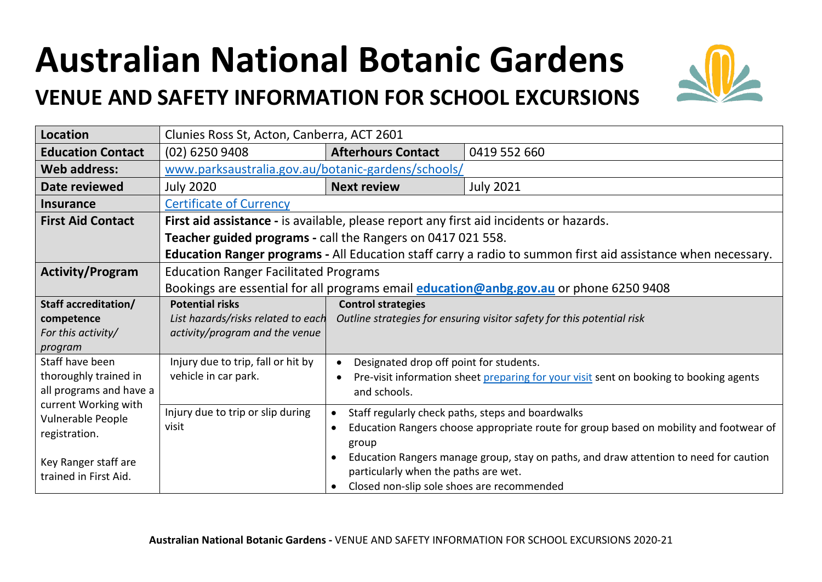## **Australian National Botanic Gardens**

## **VENUE AND SAFETY INFORMATION FOR SCHOOL EXCURSIONS**



| <b>Location</b>                    | Clunies Ross St, Acton, Canberra, ACT 2601                                                                          |                                                                                                     |                                                                                        |  |
|------------------------------------|---------------------------------------------------------------------------------------------------------------------|-----------------------------------------------------------------------------------------------------|----------------------------------------------------------------------------------------|--|
| <b>Education Contact</b>           | (02) 6250 9408                                                                                                      | <b>Afterhours Contact</b>                                                                           | 0419 552 660                                                                           |  |
| <b>Web address:</b>                | www.parksaustralia.gov.au/botanic-gardens/schools/                                                                  |                                                                                                     |                                                                                        |  |
| Date reviewed                      | <b>July 2020</b>                                                                                                    | <b>Next review</b>                                                                                  | <b>July 2021</b>                                                                       |  |
| <b>Insurance</b>                   | <b>Certificate of Currency</b>                                                                                      |                                                                                                     |                                                                                        |  |
| <b>First Aid Contact</b>           | First aid assistance - is available, please report any first aid incidents or hazards.                              |                                                                                                     |                                                                                        |  |
|                                    | Teacher guided programs - call the Rangers on 0417 021 558.                                                         |                                                                                                     |                                                                                        |  |
|                                    | <b>Education Ranger programs - All Education staff carry a radio to summon first aid assistance when necessary.</b> |                                                                                                     |                                                                                        |  |
| <b>Activity/Program</b>            | <b>Education Ranger Facilitated Programs</b>                                                                        |                                                                                                     |                                                                                        |  |
|                                    | Bookings are essential for all programs email education@anbg.gov.au or phone 6250 9408                              |                                                                                                     |                                                                                        |  |
| <b>Staff accreditation/</b>        | <b>Potential risks</b>                                                                                              | <b>Control strategies</b>                                                                           |                                                                                        |  |
| competence                         | List hazards/risks related to each                                                                                  |                                                                                                     | Outline strategies for ensuring visitor safety for this potential risk                 |  |
| For this activity/                 | activity/program and the venue                                                                                      |                                                                                                     |                                                                                        |  |
| program<br>Staff have been         |                                                                                                                     |                                                                                                     |                                                                                        |  |
| thoroughly trained in              | Injury due to trip, fall or hit by<br>vehicle in car park.                                                          | Designated drop off point for students.<br>$\bullet$                                                |                                                                                        |  |
| all programs and have a            |                                                                                                                     | Pre-visit information sheet preparing for your visit sent on booking to booking agents<br>$\bullet$ |                                                                                        |  |
| current Working with               | and schools.                                                                                                        |                                                                                                     |                                                                                        |  |
| Vulnerable People<br>registration. | Injury due to trip or slip during                                                                                   |                                                                                                     | Staff regularly check paths, steps and boardwalks                                      |  |
|                                    | visit                                                                                                               |                                                                                                     | Education Rangers choose appropriate route for group based on mobility and footwear of |  |
|                                    |                                                                                                                     | group                                                                                               |                                                                                        |  |
| Key Ranger staff are               |                                                                                                                     |                                                                                                     | Education Rangers manage group, stay on paths, and draw attention to need for caution  |  |
| trained in First Aid.              |                                                                                                                     | particularly when the paths are wet.                                                                |                                                                                        |  |
|                                    |                                                                                                                     | Closed non-slip sole shoes are recommended                                                          |                                                                                        |  |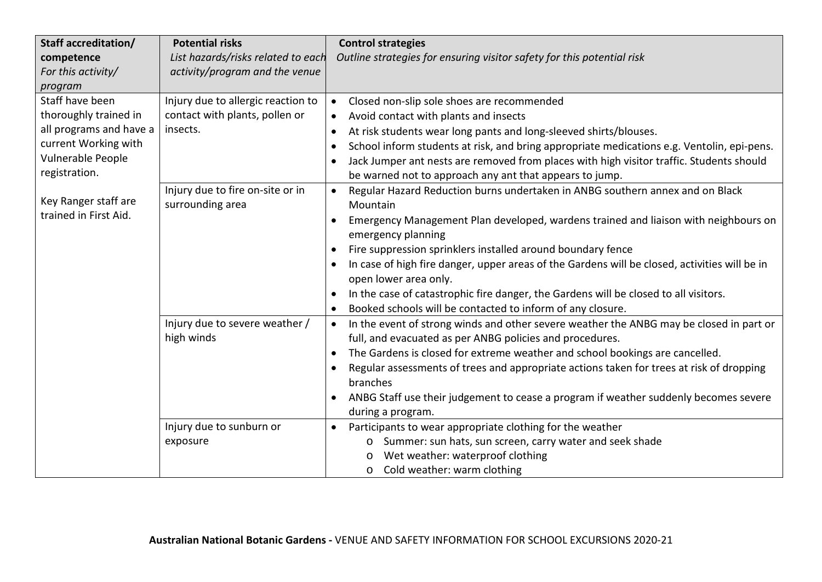| Staff accreditation/                          | <b>Potential risks</b>             | <b>Control strategies</b>                                                                                              |
|-----------------------------------------------|------------------------------------|------------------------------------------------------------------------------------------------------------------------|
| competence                                    | List hazards/risks related to each | Outline strategies for ensuring visitor safety for this potential risk                                                 |
| For this activity/                            | activity/program and the venue     |                                                                                                                        |
| program                                       |                                    |                                                                                                                        |
| Staff have been                               | Injury due to allergic reaction to | Closed non-slip sole shoes are recommended                                                                             |
| thoroughly trained in                         | contact with plants, pollen or     | Avoid contact with plants and insects                                                                                  |
| all programs and have a                       | insects.                           | At risk students wear long pants and long-sleeved shirts/blouses.<br>$\bullet$                                         |
| current Working with                          |                                    | School inform students at risk, and bring appropriate medications e.g. Ventolin, epi-pens.<br>$\bullet$                |
| Vulnerable People                             |                                    | Jack Jumper ant nests are removed from places with high visitor traffic. Students should                               |
| registration.                                 |                                    | be warned not to approach any ant that appears to jump.                                                                |
|                                               | Injury due to fire on-site or in   | Regular Hazard Reduction burns undertaken in ANBG southern annex and on Black<br>$\bullet$                             |
| Key Ranger staff are<br>trained in First Aid. | surrounding area                   | Mountain                                                                                                               |
|                                               |                                    | Emergency Management Plan developed, wardens trained and liaison with neighbours on<br>$\bullet$<br>emergency planning |
|                                               |                                    | Fire suppression sprinklers installed around boundary fence<br>$\bullet$                                               |
|                                               |                                    | In case of high fire danger, upper areas of the Gardens will be closed, activities will be in                          |
|                                               |                                    | open lower area only.                                                                                                  |
|                                               |                                    | In the case of catastrophic fire danger, the Gardens will be closed to all visitors.<br>$\bullet$                      |
|                                               |                                    | Booked schools will be contacted to inform of any closure.                                                             |
|                                               | Injury due to severe weather /     | In the event of strong winds and other severe weather the ANBG may be closed in part or<br>$\bullet$                   |
|                                               | high winds                         | full, and evacuated as per ANBG policies and procedures.                                                               |
|                                               |                                    | The Gardens is closed for extreme weather and school bookings are cancelled.<br>$\bullet$                              |
|                                               |                                    | Regular assessments of trees and appropriate actions taken for trees at risk of dropping<br>$\bullet$                  |
|                                               |                                    | branches                                                                                                               |
|                                               |                                    | ANBG Staff use their judgement to cease a program if weather suddenly becomes severe                                   |
|                                               |                                    | during a program.                                                                                                      |
|                                               | Injury due to sunburn or           | Participants to wear appropriate clothing for the weather<br>$\bullet$                                                 |
|                                               | exposure                           | Summer: sun hats, sun screen, carry water and seek shade<br>$\circ$                                                    |
|                                               |                                    | Wet weather: waterproof clothing                                                                                       |
|                                               |                                    | Cold weather: warm clothing<br>$\circ$                                                                                 |